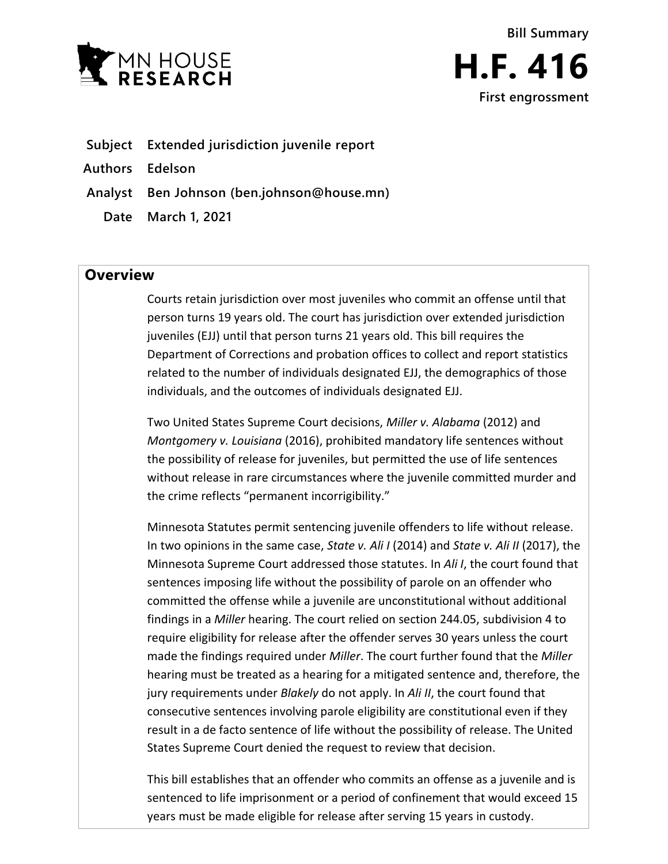



- **Subject Extended jurisdiction juvenile report**
- **Authors Edelson**
- **Analyst Ben Johnson (ben.johnson@house.mn)**
	- **Date March 1, 2021**

## **Overview**

Courts retain jurisdiction over most juveniles who commit an offense until that person turns 19 years old. The court has jurisdiction over extended jurisdiction juveniles (EJJ) until that person turns 21 years old. This bill requires the Department of Corrections and probation offices to collect and report statistics related to the number of individuals designated EJJ, the demographics of those individuals, and the outcomes of individuals designated EJJ.

Two United States Supreme Court decisions, *Miller v. Alabama* (2012) and *Montgomery v. Louisiana* (2016), prohibited mandatory life sentences without the possibility of release for juveniles, but permitted the use of life sentences without release in rare circumstances where the juvenile committed murder and the crime reflects "permanent incorrigibility."

Minnesota Statutes permit sentencing juvenile offenders to life without release. In two opinions in the same case, *State v. Ali I* (2014) and *State v. Ali II* (2017), the Minnesota Supreme Court addressed those statutes. In *Ali I*, the court found that sentences imposing life without the possibility of parole on an offender who committed the offense while a juvenile are unconstitutional without additional findings in a *Miller* hearing. The court relied on section 244.05, subdivision 4 to require eligibility for release after the offender serves 30 years unless the court made the findings required under *Miller*. The court further found that the *Miller* hearing must be treated as a hearing for a mitigated sentence and, therefore, the jury requirements under *Blakely* do not apply. In *Ali II*, the court found that consecutive sentences involving parole eligibility are constitutional even if they result in a de facto sentence of life without the possibility of release. The United States Supreme Court denied the request to review that decision.

This bill establishes that an offender who commits an offense as a juvenile and is sentenced to life imprisonment or a period of confinement that would exceed 15 years must be made eligible for release after serving 15 years in custody.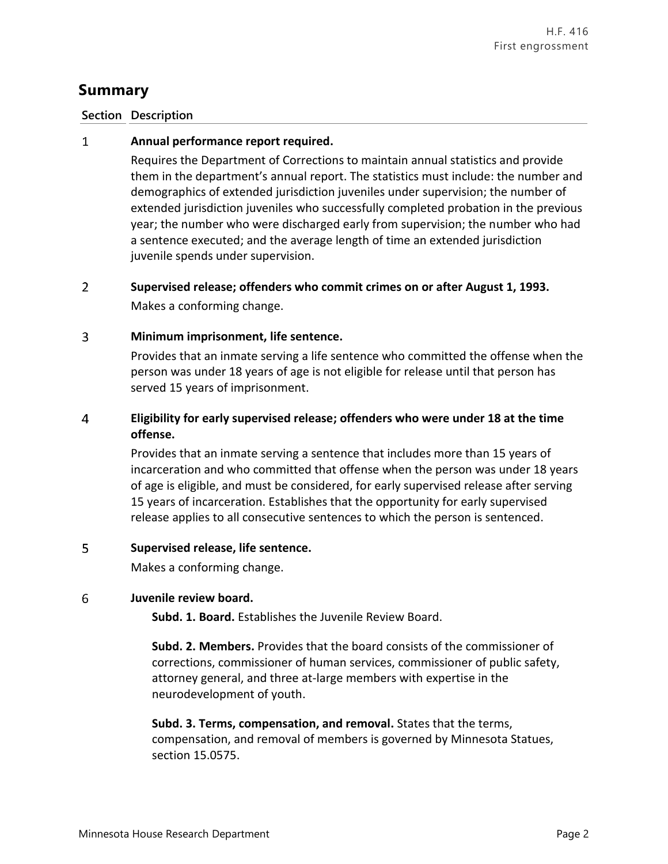# **Summary**

## **Section Description**

### $\mathbf{1}$ **Annual performance report required.**

Requires the Department of Corrections to maintain annual statistics and provide them in the department's annual report. The statistics must include: the number and demographics of extended jurisdiction juveniles under supervision; the number of extended jurisdiction juveniles who successfully completed probation in the previous year; the number who were discharged early from supervision; the number who had a sentence executed; and the average length of time an extended jurisdiction juvenile spends under supervision.

### $\overline{2}$ **Supervised release; offenders who commit crimes on or after August 1, 1993.** Makes a conforming change.

### $\overline{3}$ **Minimum imprisonment, life sentence.**

Provides that an inmate serving a life sentence who committed the offense when the person was under 18 years of age is not eligible for release until that person has served 15 years of imprisonment.

### $\overline{a}$ **Eligibility for early supervised release; offenders who were under 18 at the time offense.**

Provides that an inmate serving a sentence that includes more than 15 years of incarceration and who committed that offense when the person was under 18 years of age is eligible, and must be considered, for early supervised release after serving 15 years of incarceration. Establishes that the opportunity for early supervised release applies to all consecutive sentences to which the person is sentenced.

### 5 **Supervised release, life sentence.**

Makes a conforming change.

#### 6 **Juvenile review board.**

**Subd. 1. Board.** Establishes the Juvenile Review Board.

**Subd. 2. Members.** Provides that the board consists of the commissioner of corrections, commissioner of human services, commissioner of public safety, attorney general, and three at-large members with expertise in the neurodevelopment of youth.

**Subd. 3. Terms, compensation, and removal.** States that the terms, compensation, and removal of members is governed by Minnesota Statues, section 15.0575.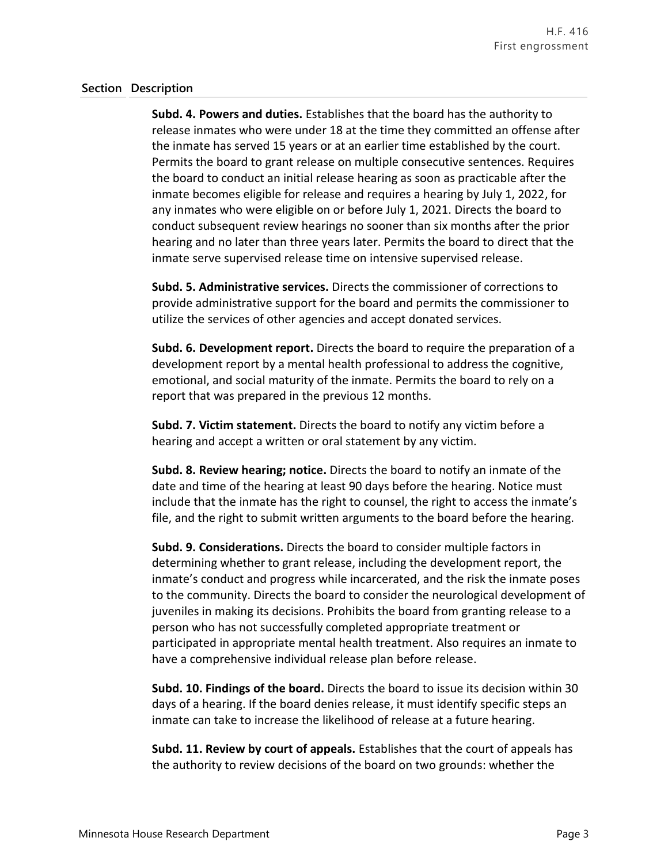### **Section Description**

**Subd. 4. Powers and duties.** Establishes that the board has the authority to release inmates who were under 18 at the time they committed an offense after the inmate has served 15 years or at an earlier time established by the court. Permits the board to grant release on multiple consecutive sentences. Requires the board to conduct an initial release hearing as soon as practicable after the inmate becomes eligible for release and requires a hearing by July 1, 2022, for any inmates who were eligible on or before July 1, 2021. Directs the board to conduct subsequent review hearings no sooner than six months after the prior hearing and no later than three years later. Permits the board to direct that the inmate serve supervised release time on intensive supervised release.

**Subd. 5. Administrative services.** Directs the commissioner of corrections to provide administrative support for the board and permits the commissioner to utilize the services of other agencies and accept donated services.

**Subd. 6. Development report.** Directs the board to require the preparation of a development report by a mental health professional to address the cognitive, emotional, and social maturity of the inmate. Permits the board to rely on a report that was prepared in the previous 12 months.

**Subd. 7. Victim statement.** Directs the board to notify any victim before a hearing and accept a written or oral statement by any victim.

**Subd. 8. Review hearing; notice.** Directs the board to notify an inmate of the date and time of the hearing at least 90 days before the hearing. Notice must include that the inmate has the right to counsel, the right to access the inmate's file, and the right to submit written arguments to the board before the hearing.

**Subd. 9. Considerations.** Directs the board to consider multiple factors in determining whether to grant release, including the development report, the inmate's conduct and progress while incarcerated, and the risk the inmate poses to the community. Directs the board to consider the neurological development of juveniles in making its decisions. Prohibits the board from granting release to a person who has not successfully completed appropriate treatment or participated in appropriate mental health treatment. Also requires an inmate to have a comprehensive individual release plan before release.

**Subd. 10. Findings of the board.** Directs the board to issue its decision within 30 days of a hearing. If the board denies release, it must identify specific steps an inmate can take to increase the likelihood of release at a future hearing.

**Subd. 11. Review by court of appeals.** Establishes that the court of appeals has the authority to review decisions of the board on two grounds: whether the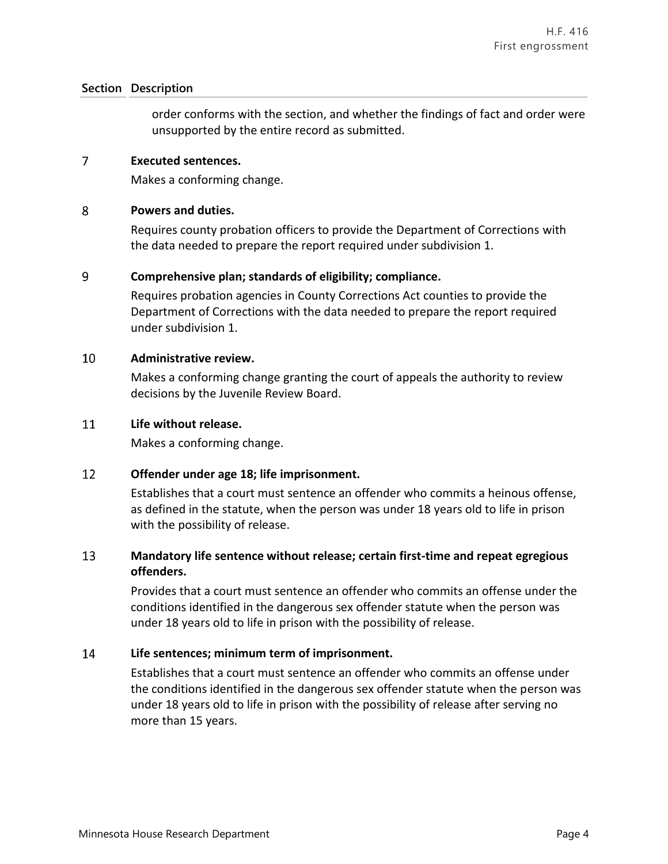## **Section Description**

order conforms with the section, and whether the findings of fact and order were unsupported by the entire record as submitted.

#### $\overline{7}$ **Executed sentences.**

Makes a conforming change.

### 8 **Powers and duties.**

Requires county probation officers to provide the Department of Corrections with the data needed to prepare the report required under subdivision 1.

### 9 **Comprehensive plan; standards of eligibility; compliance.**

Requires probation agencies in County Corrections Act counties to provide the Department of Corrections with the data needed to prepare the report required under subdivision 1.

#### 10 **Administrative review.**

Makes a conforming change granting the court of appeals the authority to review decisions by the Juvenile Review Board.

#### 11 **Life without release.**

Makes a conforming change.

### 12 **Offender under age 18; life imprisonment.**

Establishes that a court must sentence an offender who commits a heinous offense, as defined in the statute, when the person was under 18 years old to life in prison with the possibility of release.

### 13 **Mandatory life sentence without release; certain first-time and repeat egregious offenders.**

Provides that a court must sentence an offender who commits an offense under the conditions identified in the dangerous sex offender statute when the person was under 18 years old to life in prison with the possibility of release.

### 14 **Life sentences; minimum term of imprisonment.**

Establishes that a court must sentence an offender who commits an offense under the conditions identified in the dangerous sex offender statute when the person was under 18 years old to life in prison with the possibility of release after serving no more than 15 years.